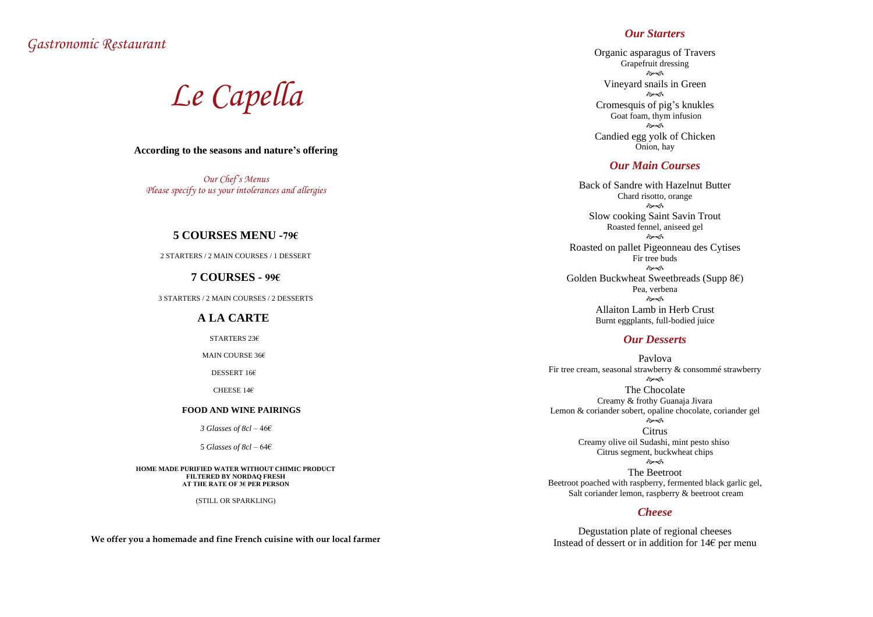*Gastronomic Restaurant*

*Le Capella*

#### **According to the seasons and nature's offering**

*Our Chef's Menus Please specify to us your intolerances and allergies*

#### **5 COURSES MENU -79€**

2 STARTERS / 2 MAIN COURSES / 1 DESSERT

#### **7 COURSES - 99€**

3 STARTERS / 2 MAIN COURSES / 2 DESSERTS

#### **A LA CARTE**

STARTERS 23€

MAIN COURSE 36€

DESSERT 16€

CHEESE 14€

#### **FOOD AND WINE PAIRINGS**

*3 Glasses of 8cl* – 46€

5 *Glasses of 8cl* – 64€

**HOME MADE PURIFIED WATER WITHOUT CHIMIC PRODUCT FILTERED BY NORDAQ FRESH AT THE RATE OF 3€ PER PERSON**

(STILL OR SPARKLING)

**We offer you a homemade and fine French cuisine with our local farmer**

# *Our Starters*

Organic asparagus of Travers Grapefruit dressing  $\hat{\sigma}$ Vineyard snails in Green কৈৰ্ক Cromesquis of pig's knukles Goat foam, thym infusion  $\hat{\sigma}$ Candied egg yolk of Chicken Onion, hay

Degustation plate of regional cheeses Instead of dessert or in addition for 14 $\epsilon$  per menu

# *Our Main Courses*

Back of Sandre with Hazelnut Butter Chard risotto, orange  $\hat{\sigma}$ Slow cooking Saint Savin Trout Roasted fennel, aniseed gel  $\hat{\sigma}$ Roasted on pallet Pigeonneau des Cytises Fir tree buds  $\hat{\sigma}$ Golden Buckwheat Sweetbreads (Supp 8€) Pea, verbena  $\hat{\sigma}$ Allaiton Lamb in Herb Crust Burnt eggplants, full-bodied juice

## *Our Desserts*

Pavlova Fir tree cream, seasonal strawberry & consommé strawberry  $\hat{\sigma}$ The Chocolate Creamy & frothy Guanaja Jivara Lemon & coriander sobert, opaline chocolate, coriander gel  $\hat{\sigma}$ **Citrus** Creamy olive oil Sudashi, mint pesto shiso Citrus segment, buckwheat chips  $\hat{\sigma}$ The Beetroot Beetroot poached with raspberry, fermented black garlic gel, Salt coriander lemon, raspberry & beetroot cream

## *Cheese*